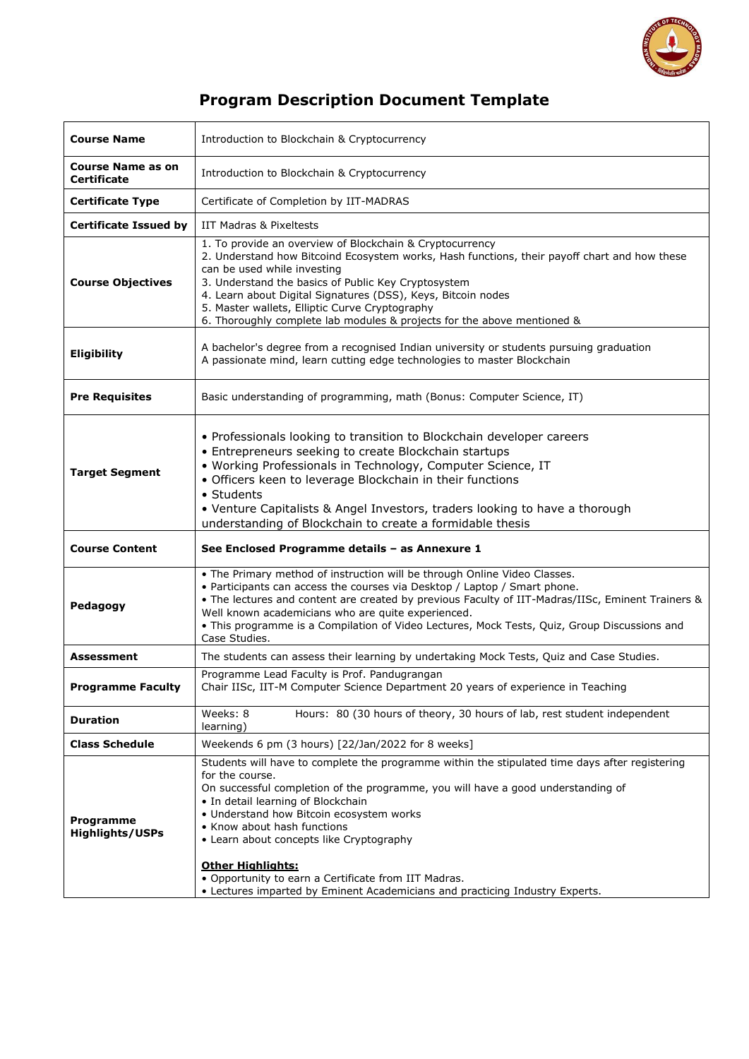

## **Program Description Document Template**

| <b>Course Name</b>                  | Introduction to Blockchain & Cryptocurrency                                                                                                                                                                                                                                                                                                                                                                                                 |  |  |
|-------------------------------------|---------------------------------------------------------------------------------------------------------------------------------------------------------------------------------------------------------------------------------------------------------------------------------------------------------------------------------------------------------------------------------------------------------------------------------------------|--|--|
| Course Name as on<br>Certificate    | Introduction to Blockchain & Cryptocurrency                                                                                                                                                                                                                                                                                                                                                                                                 |  |  |
| <b>Certificate Type</b>             | Certificate of Completion by IIT-MADRAS                                                                                                                                                                                                                                                                                                                                                                                                     |  |  |
| <b>Certificate Issued by</b>        | IIT Madras & Pixeltests                                                                                                                                                                                                                                                                                                                                                                                                                     |  |  |
| <b>Course Objectives</b>            | 1. To provide an overview of Blockchain & Cryptocurrency<br>2. Understand how Bitcoind Ecosystem works, Hash functions, their payoff chart and how these<br>can be used while investing<br>3. Understand the basics of Public Key Cryptosystem<br>4. Learn about Digital Signatures (DSS), Keys, Bitcoin nodes<br>5. Master wallets, Elliptic Curve Cryptography<br>6. Thoroughly complete lab modules & projects for the above mentioned & |  |  |
| Eligibility                         | A bachelor's degree from a recognised Indian university or students pursuing graduation<br>A passionate mind, learn cutting edge technologies to master Blockchain                                                                                                                                                                                                                                                                          |  |  |
| <b>Pre Requisites</b>               | Basic understanding of programming, math (Bonus: Computer Science, IT)                                                                                                                                                                                                                                                                                                                                                                      |  |  |
| <b>Target Segment</b>               | • Professionals looking to transition to Blockchain developer careers<br>• Entrepreneurs seeking to create Blockchain startups<br>• Working Professionals in Technology, Computer Science, IT<br>· Officers keen to leverage Blockchain in their functions<br>• Students<br>• Venture Capitalists & Angel Investors, traders looking to have a thorough<br>understanding of Blockchain to create a formidable thesis                        |  |  |
| <b>Course Content</b>               | See Enclosed Programme details - as Annexure 1                                                                                                                                                                                                                                                                                                                                                                                              |  |  |
| Pedagogy                            | . The Primary method of instruction will be through Online Video Classes.<br>. Participants can access the courses via Desktop / Laptop / Smart phone.<br>. The lectures and content are created by previous Faculty of IIT-Madras/IISc, Eminent Trainers &<br>Well known academicians who are quite experienced.<br>. This programme is a Compilation of Video Lectures, Mock Tests, Quiz, Group Discussions and<br>Case Studies.          |  |  |
| Assessment                          | The students can assess their learning by undertaking Mock Tests, Quiz and Case Studies.                                                                                                                                                                                                                                                                                                                                                    |  |  |
| <b>Programme Faculty</b>            | Programme Lead Faculty is Prof. Pandugrangan<br>Chair IISc, IIT-M Computer Science Department 20 years of experience in Teaching                                                                                                                                                                                                                                                                                                            |  |  |
| <b>Duration</b>                     | Weeks: 8<br>Hours: 80 (30 hours of theory, 30 hours of lab, rest student independent<br>learning)                                                                                                                                                                                                                                                                                                                                           |  |  |
| <b>Class Schedule</b>               | Weekends 6 pm (3 hours) [22/Jan/2022 for 8 weeks]                                                                                                                                                                                                                                                                                                                                                                                           |  |  |
| Programme<br><b>Highlights/USPs</b> | Students will have to complete the programme within the stipulated time days after registering<br>for the course.<br>On successful completion of the programme, you will have a good understanding of<br>• In detail learning of Blockchain<br>• Understand how Bitcoin ecosystem works<br>• Know about hash functions<br>• Learn about concepts like Cryptography<br><b>Other Highlights:</b>                                              |  |  |
|                                     | . Opportunity to earn a Certificate from IIT Madras.<br>• Lectures imparted by Eminent Academicians and practicing Industry Experts.                                                                                                                                                                                                                                                                                                        |  |  |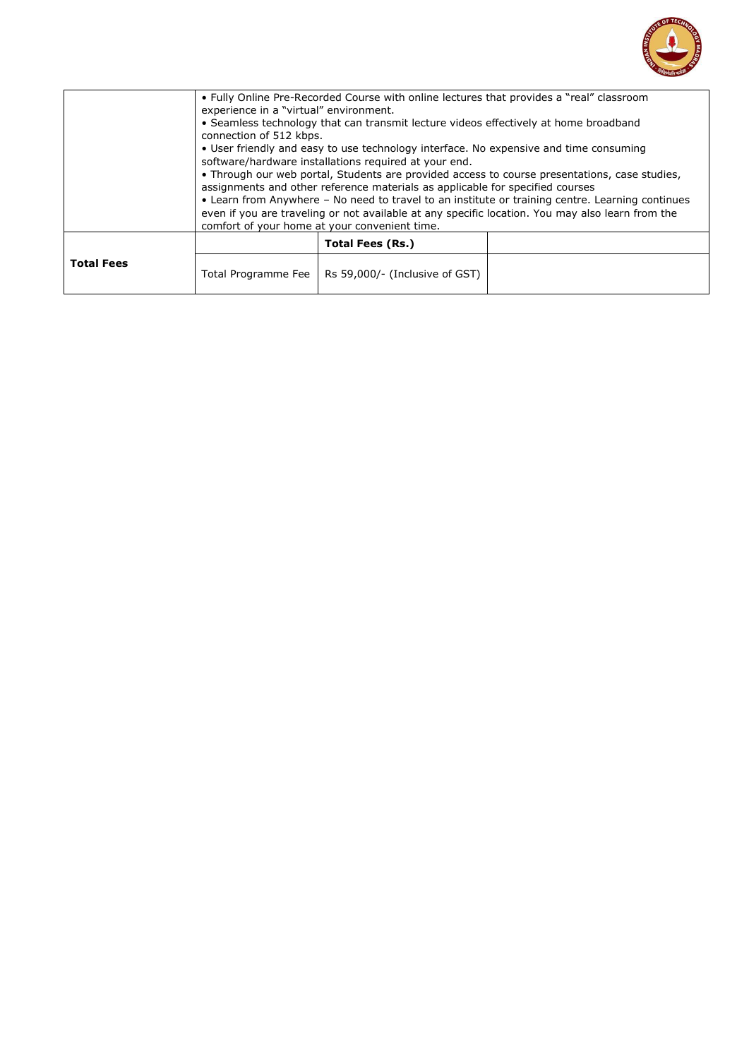

|                   | comfort of your home at your convenient time. | • Fully Online Pre-Recorded Course with online lectures that provides a "real" classroom<br>experience in a "virtual" environment.<br>• Seamless technology that can transmit lecture videos effectively at home broadband<br>connection of 512 kbps.<br>• User friendly and easy to use technology interface. No expensive and time consuming<br>software/hardware installations required at your end.<br>. Through our web portal, Students are provided access to course presentations, case studies,<br>assignments and other reference materials as applicable for specified courses<br>• Learn from Anywhere - No need to travel to an institute or training centre. Learning continues<br>even if you are traveling or not available at any specific location. You may also learn from the |  |  |  |
|-------------------|-----------------------------------------------|---------------------------------------------------------------------------------------------------------------------------------------------------------------------------------------------------------------------------------------------------------------------------------------------------------------------------------------------------------------------------------------------------------------------------------------------------------------------------------------------------------------------------------------------------------------------------------------------------------------------------------------------------------------------------------------------------------------------------------------------------------------------------------------------------|--|--|--|
|                   |                                               |                                                                                                                                                                                                                                                                                                                                                                                                                                                                                                                                                                                                                                                                                                                                                                                                   |  |  |  |
|                   |                                               | Total Fees (Rs.)                                                                                                                                                                                                                                                                                                                                                                                                                                                                                                                                                                                                                                                                                                                                                                                  |  |  |  |
| <b>Total Fees</b> | Total Programme Fee                           | Rs 59,000/- (Inclusive of GST)                                                                                                                                                                                                                                                                                                                                                                                                                                                                                                                                                                                                                                                                                                                                                                    |  |  |  |